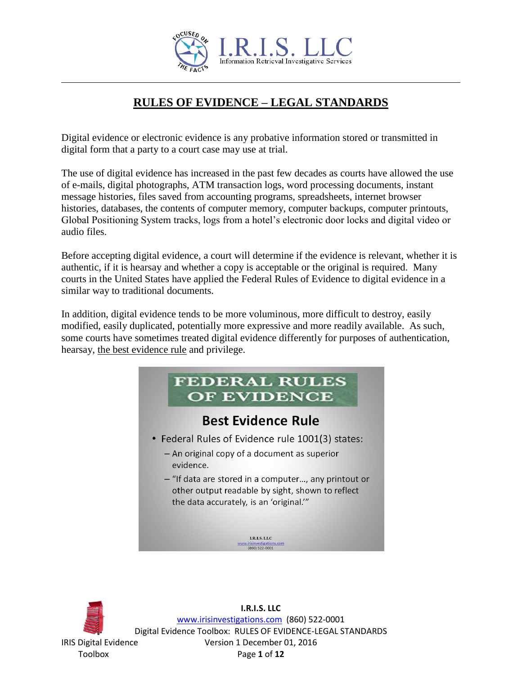

# **RULES OF EVIDENCE – LEGAL STANDARDS**

Digital evidence or electronic evidence is any probative information stored or transmitted in digital form that a party to a court case may use at trial.

The use of digital evidence has increased in the past few decades as courts have allowed the use of e-mails, digital photographs, ATM transaction logs, word processing documents, instant message histories, files saved from accounting programs, spreadsheets, internet browser histories, databases, the contents of computer memory, computer backups, computer printouts, Global Positioning System tracks, logs from a hotel's electronic door locks and digital video or audio files.

Before accepting digital evidence, a court will determine if the evidence is relevant, whether it is authentic, if it is hearsay and whether a copy is acceptable or the original is required. Many courts in the United States have applied the Federal Rules of Evidence to digital evidence in a similar way to traditional documents.

In addition, digital evidence tends to be more voluminous, more difficult to destroy, easily modified, easily duplicated, potentially more expressive and more readily available. As such, some courts have sometimes treated digital evidence differently for purposes of authentication, hearsay, the best evidence rule and privilege.



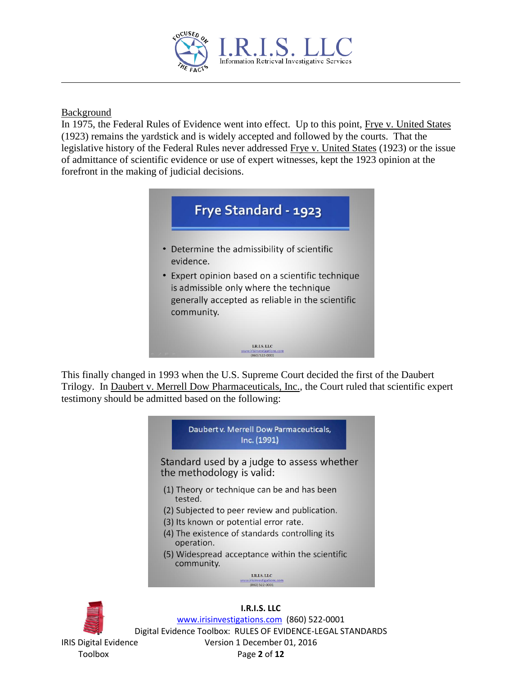

## Background

In 1975, the Federal Rules of Evidence went into effect. Up to this point, Frye v. United States (1923) remains the yardstick and is widely accepted and followed by the courts. That the legislative history of the Federal Rules never addressed Frye v. United States (1923) or the issue of admittance of scientific evidence or use of expert witnesses, kept the 1923 opinion at the forefront in the making of judicial decisions.



This finally changed in 1993 when the U.S. Supreme Court decided the first of the Daubert Trilogy. In Daubert v. Merrell Dow Pharmaceuticals, Inc., the Court ruled that scientific expert testimony should be admitted based on the following:



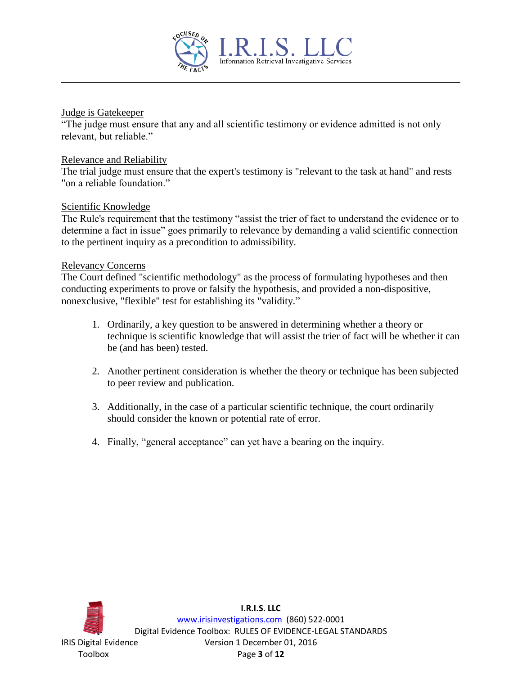

#### Judge is Gatekeeper

"The judge must ensure that any and all scientific testimony or evidence admitted is not only relevant, but reliable."

#### Relevance and Reliability

The trial judge must ensure that the expert's testimony is "relevant to the task at hand" and rests "on a reliable foundation"

## Scientific Knowledge

The Rule's requirement that the testimony "assist the trier of fact to understand the evidence or to determine a fact in issue" goes primarily to relevance by demanding a valid scientific connection to the pertinent inquiry as a precondition to admissibility.

#### Relevancy Concerns

The Court defined "scientific methodology" as the process of formulating hypotheses and then conducting experiments to prove or falsify the hypothesis, and provided a non-dispositive, nonexclusive, "flexible" test for establishing its "validity."

- 1. Ordinarily, a key question to be answered in determining whether a theory or technique is scientific knowledge that will assist the trier of fact will be whether it can be (and has been) tested.
- 2. Another pertinent consideration is whether the theory or technique has been subjected to peer review and publication.
- 3. Additionally, in the case of a particular scientific technique, the court ordinarily should consider the known or potential rate of error.
- 4. Finally, "general acceptance" can yet have a bearing on the inquiry.

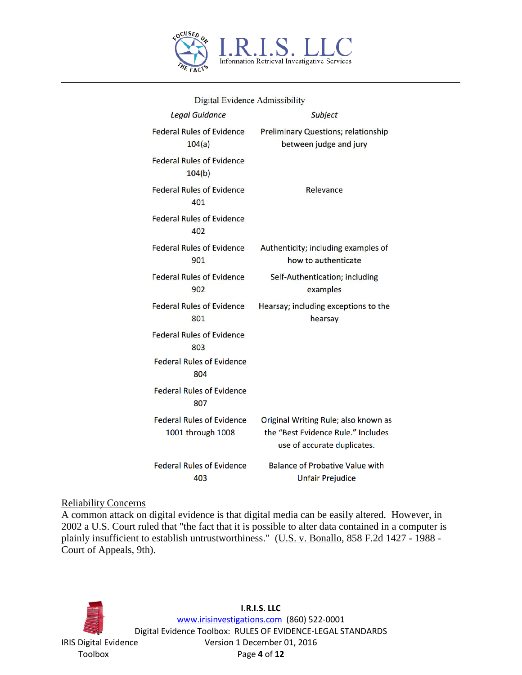

| Digital Lynuvilly Auniformity |                                                       |                                                                                                           |
|-------------------------------|-------------------------------------------------------|-----------------------------------------------------------------------------------------------------------|
|                               | <b>Legal Guidance</b>                                 | Subject                                                                                                   |
|                               | <b>Federal Rules of Evidence</b><br>104(a)            | <b>Preliminary Questions; relationship</b><br>between judge and jury                                      |
|                               | <b>Federal Rules of Evidence</b><br>104(b)            |                                                                                                           |
|                               | <b>Federal Rules of Evidence</b><br>401               | Relevance                                                                                                 |
|                               | <b>Federal Rules of Evidence</b><br>402               |                                                                                                           |
|                               | <b>Federal Rules of Evidence</b><br>901               | Authenticity; including examples of<br>how to authenticate                                                |
|                               | <b>Federal Rules of Evidence</b><br>902               | Self-Authentication; including<br>examples                                                                |
|                               | <b>Federal Rules of Evidence</b><br>801               | Hearsay; including exceptions to the<br>hearsay                                                           |
|                               | <b>Federal Rules of Evidence</b><br>803               |                                                                                                           |
|                               | <b>Federal Rules of Evidence</b><br>804               |                                                                                                           |
|                               | <b>Federal Rules of Evidence</b><br>807               |                                                                                                           |
|                               | <b>Federal Rules of Evidence</b><br>1001 through 1008 | Original Writing Rule; also known as<br>the "Best Evidence Rule." Includes<br>use of accurate duplicates. |
|                               | <b>Federal Rules of Evidence</b><br>403               | <b>Balance of Probative Value with</b><br><b>Unfair Prejudice</b>                                         |

Digital Evidence Admissibility

## Reliability Concerns

A common attack on digital evidence is that digital media can be easily altered. However, in 2002 a U.S. Court ruled that "the fact that it is possible to alter data contained in a computer is plainly insufficient to establish untrustworthiness." (U.S. v. Bonallo, 858 F.2d 1427 - 1988 -Court of Appeals, 9th).

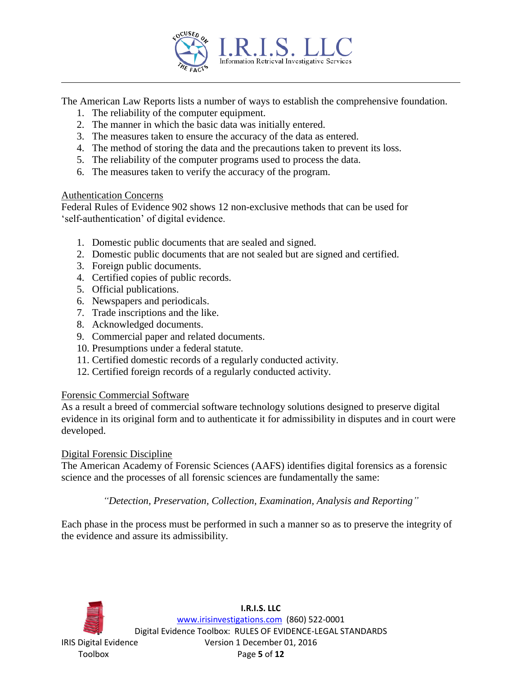

The American Law Reports lists a number of ways to establish the comprehensive foundation.

- 1. The reliability of the computer equipment.
- 2. The manner in which the basic data was initially entered.
- 3. The measures taken to ensure the accuracy of the data as entered.
- 4. The method of storing the data and the precautions taken to prevent its loss.
- 5. The reliability of the computer programs used to process the data.
- 6. The measures taken to verify the accuracy of the program.

#### Authentication Concerns

Federal Rules of Evidence 902 shows 12 non-exclusive methods that can be used for 'self-authentication' of digital evidence.

- 1. Domestic public documents that are sealed and signed.
- 2. Domestic public documents that are not sealed but are signed and certified.
- 3. Foreign public documents.
- 4. Certified copies of public records.
- 5. Official publications.
- 6. Newspapers and periodicals.
- 7. Trade inscriptions and the like.
- 8. Acknowledged documents.
- 9. Commercial paper and related documents.
- 10. Presumptions under a federal statute.
- 11. Certified domestic records of a regularly conducted activity.
- 12. Certified foreign records of a regularly conducted activity.

#### Forensic Commercial Software

As a result a breed of commercial software technology solutions designed to preserve digital evidence in its original form and to authenticate it for admissibility in disputes and in court were developed.

#### Digital Forensic Discipline

The American Academy of Forensic Sciences (AAFS) identifies digital forensics as a forensic science and the processes of all forensic sciences are fundamentally the same:

*"Detection, Preservation, Collection, Examination, Analysis and Reporting"*

Each phase in the process must be performed in such a manner so as to preserve the integrity of the evidence and assure its admissibility.

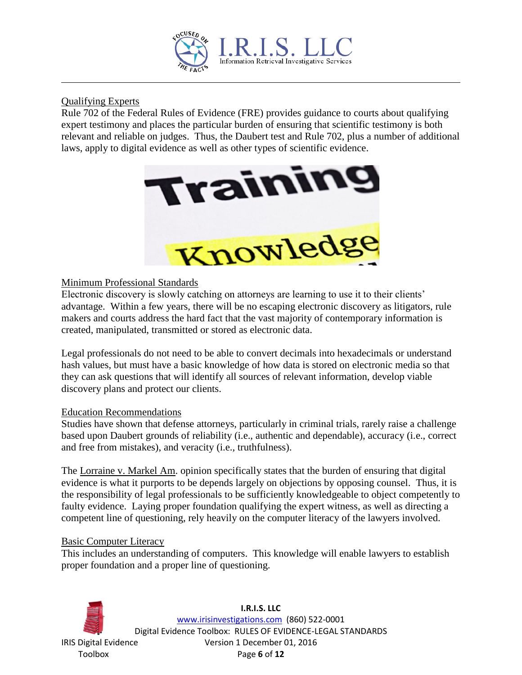

# Qualifying Experts

Rule 702 of the Federal Rules of Evidence (FRE) provides guidance to courts about qualifying expert testimony and places the particular burden of ensuring that scientific testimony is both relevant and reliable on judges. Thus, the Daubert test and Rule 702, plus a number of additional laws, apply to digital evidence as well as other types of scientific evidence.



# Minimum Professional Standards

Electronic discovery is slowly catching on attorneys are learning to use it to their clients' advantage. Within a few years, there will be no escaping electronic discovery as litigators, rule makers and courts address the hard fact that the vast majority of contemporary information is created, manipulated, transmitted or stored as electronic data.

Legal professionals do not need to be able to convert decimals into hexadecimals or understand hash values, but must have a basic knowledge of how data is stored on electronic media so that they can ask questions that will identify all sources of relevant information, develop viable discovery plans and protect our clients.

## Education Recommendations

Studies have shown that defense attorneys, particularly in criminal trials, rarely raise a challenge based upon Daubert grounds of reliability (i.e., authentic and dependable), accuracy (i.e., correct and free from mistakes), and veracity (i.e., truthfulness).

The Lorraine v. Markel Am. opinion specifically states that the burden of ensuring that digital evidence is what it purports to be depends largely on objections by opposing counsel. Thus, it is the responsibility of legal professionals to be sufficiently knowledgeable to object competently to faulty evidence. Laying proper foundation qualifying the expert witness, as well as directing a competent line of questioning, rely heavily on the computer literacy of the lawyers involved.

## Basic Computer Literacy

This includes an understanding of computers. This knowledge will enable lawyers to establish proper foundation and a proper line of questioning.

**I.R.I.S. LLC** www.irisinvestigations.com (860) 522-0001 Digital Evidence Toolbox: RULES OF EVIDENCE-LEGAL STANDARDS IRIS Digital Evidence Version 1 December 01, 2016 Toolbox Page **6** of **12**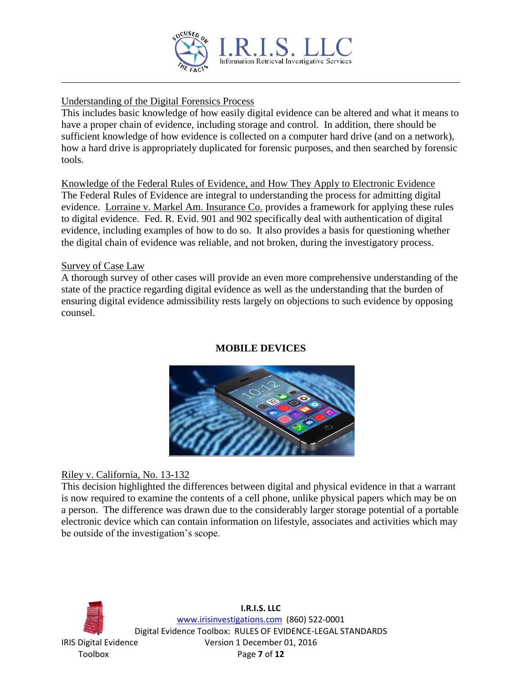![](_page_6_Picture_0.jpeg)

# Understanding of the Digital Forensics Process

This includes basic knowledge of how easily digital evidence can be altered and what it means to have a proper chain of evidence, including storage and control. In addition, there should be sufficient knowledge of how evidence is collected on a computer hard drive (and on a network), how a hard drive is appropriately duplicated for forensic purposes, and then searched by forensic tools.

Knowledge of the Federal Rules of Evidence, and How They Apply to Electronic Evidence The Federal Rules of Evidence are integral to understanding the process for admitting digital evidence. Lorraine v. Markel Am. Insurance Co. provides a framework for applying these rules to digital evidence. Fed. R. Evid. 901 and 902 specifically deal with authentication of digital evidence, including examples of how to do so. It also provides a basis for questioning whether the digital chain of evidence was reliable, and not broken, during the investigatory process.

## Survey of Case Law

A thorough survey of other cases will provide an even more comprehensive understanding of the state of the practice regarding digital evidence as well as the understanding that the burden of ensuring digital evidence admissibility rests largely on objections to such evidence by opposing counsel.

## **MOBILE DEVICES**

![](_page_6_Picture_7.jpeg)

## Riley v. California, No. 13-132

This decision highlighted the differences between digital and physical evidence in that a warrant is now required to examine the contents of a cell phone, unlike physical papers which may be on a person. The difference was drawn due to the considerably larger storage potential of a portable electronic device which can contain information on lifestyle, associates and activities which may be outside of the investigation's scope.

![](_page_6_Picture_10.jpeg)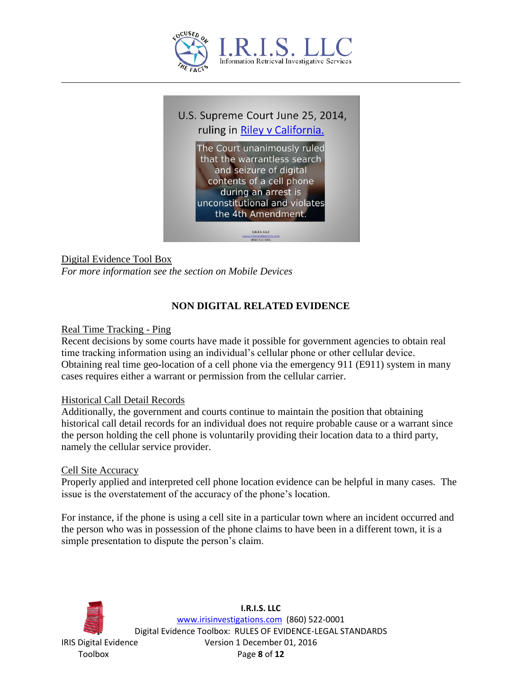![](_page_7_Picture_0.jpeg)

![](_page_7_Picture_1.jpeg)

Digital Evidence Tool Box *For more information see the section on Mobile Devices*

# **NON DIGITAL RELATED EVIDENCE**

## Real Time Tracking - Ping

Recent decisions by some courts have made it possible for government agencies to obtain real time tracking information using an individual's cellular phone or other cellular device. Obtaining real time geo-location of a cell phone via the emergency 911 (E911) system in many cases requires either a warrant or permission from the cellular carrier.

#### Historical Call Detail Records

Additionally, the government and courts continue to maintain the position that obtaining historical call detail records for an individual does not require probable cause or a warrant since the person holding the cell phone is voluntarily providing their location data to a third party, namely the cellular service provider.

#### Cell Site Accuracy

Properly applied and interpreted cell phone location evidence can be helpful in many cases. The issue is the overstatement of the accuracy of the phone's location.

For instance, if the phone is using a cell site in a particular town where an incident occurred and the person who was in possession of the phone claims to have been in a different town, it is a simple presentation to dispute the person's claim.

![](_page_7_Picture_11.jpeg)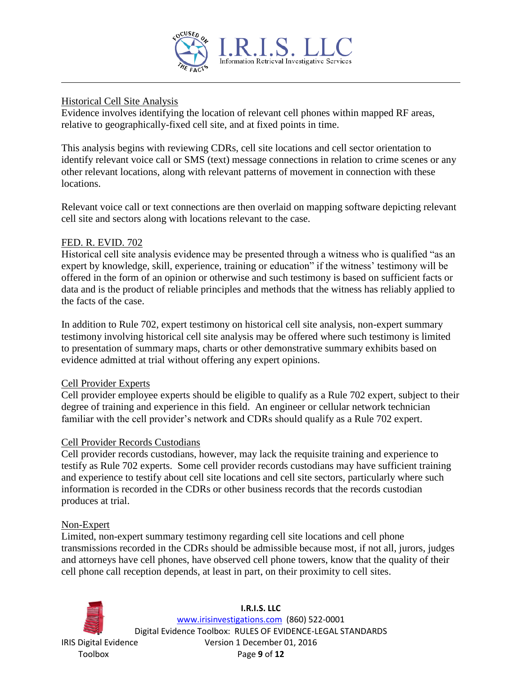![](_page_8_Picture_0.jpeg)

#### Historical Cell Site Analysis

Evidence involves identifying the location of relevant cell phones within mapped RF areas, relative to geographically-fixed cell site, and at fixed points in time.

This analysis begins with reviewing CDRs, cell site locations and cell sector orientation to identify relevant voice call or SMS (text) message connections in relation to crime scenes or any other relevant locations, along with relevant patterns of movement in connection with these locations.

Relevant voice call or text connections are then overlaid on mapping software depicting relevant cell site and sectors along with locations relevant to the case.

## FED. R. EVID. 702

Historical cell site analysis evidence may be presented through a witness who is qualified "as an expert by knowledge, skill, experience, training or education" if the witness' testimony will be offered in the form of an opinion or otherwise and such testimony is based on sufficient facts or data and is the product of reliable principles and methods that the witness has reliably applied to the facts of the case.

In addition to Rule 702, expert testimony on historical cell site analysis, non-expert summary testimony involving historical cell site analysis may be offered where such testimony is limited to presentation of summary maps, charts or other demonstrative summary exhibits based on evidence admitted at trial without offering any expert opinions.

#### Cell Provider Experts

Cell provider employee experts should be eligible to qualify as a Rule 702 expert, subject to their degree of training and experience in this field. An engineer or cellular network technician familiar with the cell provider's network and CDRs should qualify as a Rule 702 expert.

#### Cell Provider Records Custodians

Cell provider records custodians, however, may lack the requisite training and experience to testify as Rule 702 experts. Some cell provider records custodians may have sufficient training and experience to testify about cell site locations and cell site sectors, particularly where such information is recorded in the CDRs or other business records that the records custodian produces at trial.

#### Non-Expert

Limited, non-expert summary testimony regarding cell site locations and cell phone transmissions recorded in the CDRs should be admissible because most, if not all, jurors, judges and attorneys have cell phones, have observed cell phone towers, know that the quality of their cell phone call reception depends, at least in part, on their proximity to cell sites.

![](_page_8_Picture_14.jpeg)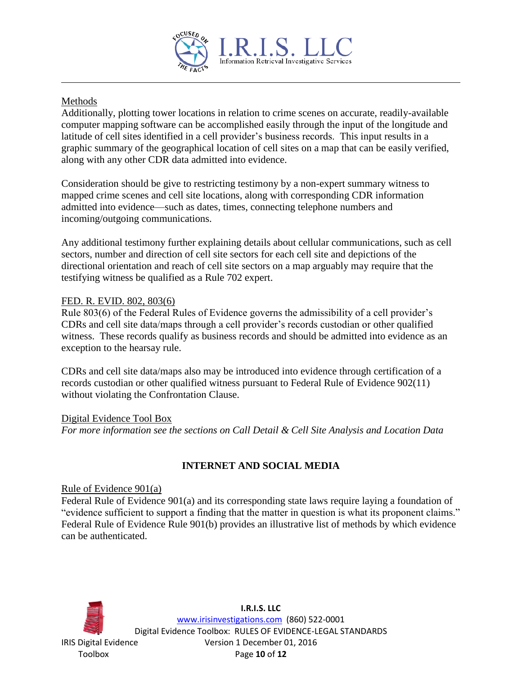![](_page_9_Picture_0.jpeg)

# Methods

Additionally, plotting tower locations in relation to crime scenes on accurate, readily-available computer mapping software can be accomplished easily through the input of the longitude and latitude of cell sites identified in a cell provider's business records. This input results in a graphic summary of the geographical location of cell sites on a map that can be easily verified, along with any other CDR data admitted into evidence.

Consideration should be give to restricting testimony by a non-expert summary witness to mapped crime scenes and cell site locations, along with corresponding CDR information admitted into evidence—such as dates, times, connecting telephone numbers and incoming/outgoing communications.

Any additional testimony further explaining details about cellular communications, such as cell sectors, number and direction of cell site sectors for each cell site and depictions of the directional orientation and reach of cell site sectors on a map arguably may require that the testifying witness be qualified as a Rule 702 expert.

## FED. R. EVID. 802, 803(6)

Rule 803(6) of the Federal Rules of Evidence governs the admissibility of a cell provider's CDRs and cell site data/maps through a cell provider's records custodian or other qualified witness. These records qualify as business records and should be admitted into evidence as an exception to the hearsay rule.

CDRs and cell site data/maps also may be introduced into evidence through certification of a records custodian or other qualified witness pursuant to Federal Rule of Evidence 902(11) without violating the Confrontation Clause.

# Digital Evidence Tool Box

*For more information see the sections on Call Detail & Cell Site Analysis and Location Data*

# **INTERNET AND SOCIAL MEDIA**

#### Rule of Evidence 901(a)

Federal Rule of Evidence 901(a) and its corresponding state laws require laying a foundation of "evidence sufficient to support a finding that the matter in question is what its proponent claims." Federal Rule of Evidence Rule 901(b) provides an illustrative list of methods by which evidence can be authenticated.

![](_page_9_Picture_13.jpeg)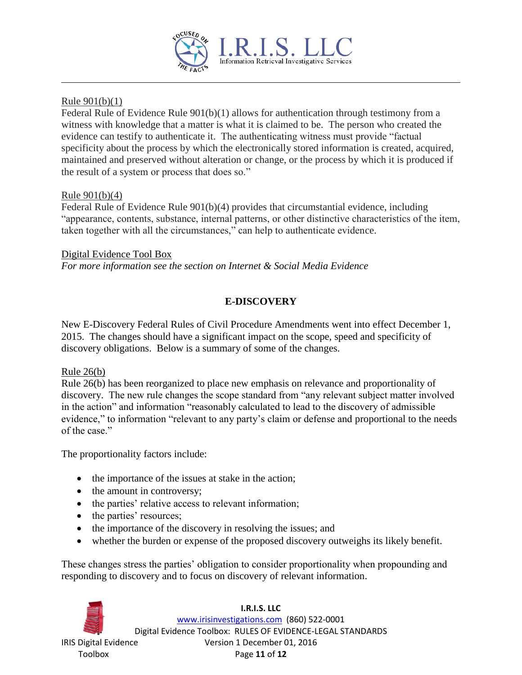![](_page_10_Picture_0.jpeg)

## Rule 901(b)(1)

Federal Rule of Evidence Rule 901(b)(1) allows for authentication through testimony from a witness with knowledge that a matter is what it is claimed to be. The person who created the evidence can testify to authenticate it. The authenticating witness must provide "factual specificity about the process by which the electronically stored information is created, acquired, maintained and preserved without alteration or change, or the process by which it is produced if the result of a system or process that does so."

## Rule 901(b)(4)

Federal Rule of Evidence Rule 901(b)(4) provides that circumstantial evidence, including "appearance, contents, substance, internal patterns, or other distinctive characteristics of the item, taken together with all the circumstances," can help to authenticate evidence.

## Digital Evidence Tool Box

*For more information see the section on Internet & Social Media Evidence*

# **E-DISCOVERY**

New E-Discovery Federal Rules of Civil Procedure Amendments went into effect December 1, 2015. The changes should have a significant impact on the scope, speed and specificity of discovery obligations. Below is a summary of some of the changes.

## Rule 26(b)

Rule 26(b) has been reorganized to place new emphasis on relevance and proportionality of discovery. The new rule changes the scope standard from "any relevant subject matter involved in the action" and information "reasonably calculated to lead to the discovery of admissible evidence," to information "relevant to any party's claim or defense and proportional to the needs of the case."

The proportionality factors include:

- the importance of the issues at stake in the action;
- the amount in controversy;
- the parties' relative access to relevant information;
- the parties' resources;
- the importance of the discovery in resolving the issues; and
- whether the burden or expense of the proposed discovery outweighs its likely benefit.

These changes stress the parties' obligation to consider proportionality when propounding and responding to discovery and to focus on discovery of relevant information.

**I.R.I.S. LLC** www.irisinvestigations.com (860) 522-0001 Digital Evidence Toolbox: RULES OF EVIDENCE-LEGAL STANDARDS IRIS Digital Evidence Version 1 December 01, 2016 Toolbox Page **11** of **12**